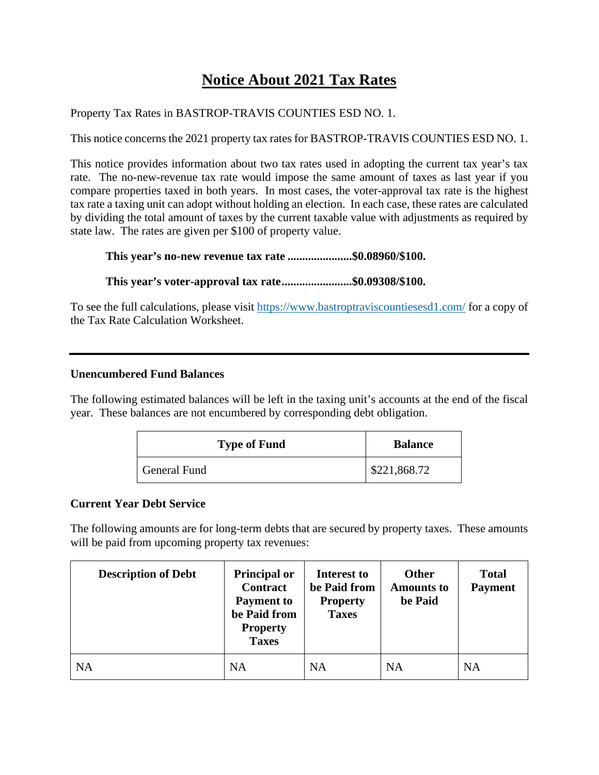## **Notice About 2021 Tax Rates**

Property Tax Rates in BASTROP-TRAVIS COUNTIES ESD NO. 1.

This notice concerns the 2021 property tax rates for BASTROP-TRAVIS COUNTIES ESD NO. 1.

This notice provides information about two tax rates used in adopting the current tax year's tax rate. The no-new-revenue tax rate would impose the same amount of taxes as last year if you compare properties taxed in both years. In most cases, the voter-approval tax rate is the highest tax rate a taxing unit can adopt without holding an election. In each case, these rates are calculated by dividing the total amount of taxes by the current taxable value with adjustments as required by state law. The rates are given per \$100 of property value.

**This year's no-new revenue tax rate ......................\$0.08960/\$100.** 

**This year's voter-approval tax rate ........................\$0.09308/\$100.** 

To see the full calculations, please visit https://www.bastroptraviscountiesesd1.com/ for a copy of the Tax Rate Calculation Worksheet.

## **Unencumbered Fund Balances**

The following estimated balances will be left in the taxing unit's accounts at the end of the fiscal year. These balances are not encumbered by corresponding debt obligation.

| <b>Type of Fund</b> | <b>Balance</b> |
|---------------------|----------------|
| General Fund        | \$221,868.72   |

## **Current Year Debt Service**

The following amounts are for long-term debts that are secured by property taxes. These amounts will be paid from upcoming property tax revenues:

| <b>Description of Debt</b> | <b>Principal or</b><br><b>Contract</b><br><b>Payment</b> to<br>be Paid from<br><b>Property</b><br><b>Taxes</b> | Interest to<br>be Paid from<br><b>Property</b><br><b>Taxes</b> | Other<br><b>Amounts to</b><br>be Paid | <b>Total</b><br><b>Payment</b> |
|----------------------------|----------------------------------------------------------------------------------------------------------------|----------------------------------------------------------------|---------------------------------------|--------------------------------|
| <b>NA</b>                  | <b>NA</b>                                                                                                      | <b>NA</b>                                                      | <b>NA</b>                             | <b>NA</b>                      |